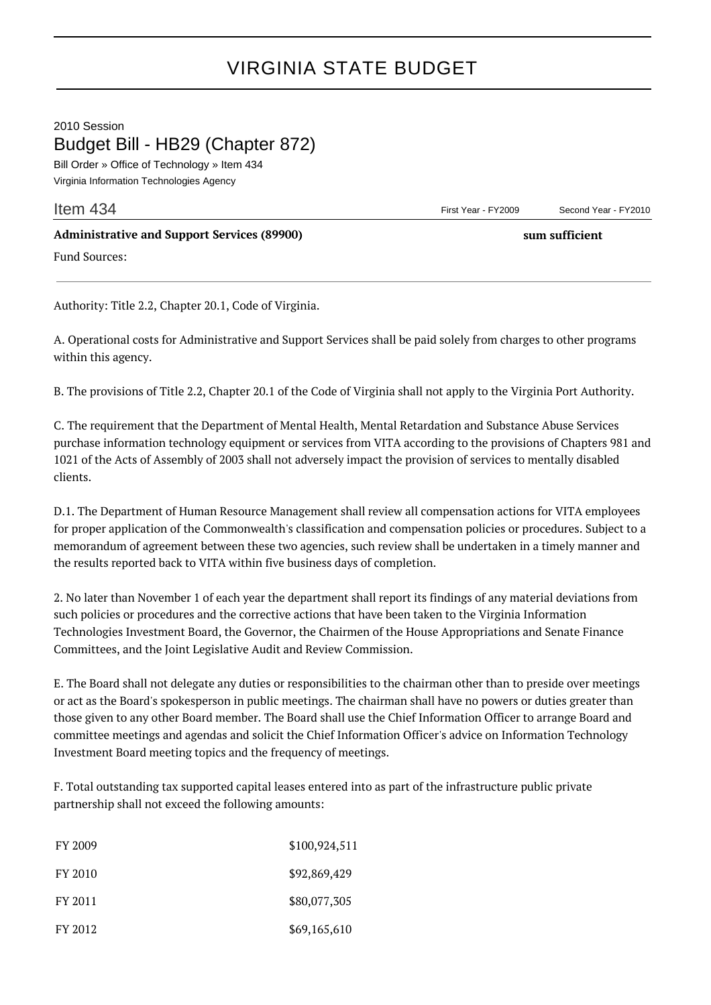## VIRGINIA STATE BUDGET

## 2010 Session Budget Bill - HB29 (Chapter 872)

Bill Order » Office of Technology » Item 434 Virginia Information Technologies Agency

**Item 434** Second Year - FY2010

## **Administrative and Support Services (89900) sum sufficient**

Fund Sources:

Authority: Title 2.2, Chapter 20.1, Code of Virginia.

A. Operational costs for Administrative and Support Services shall be paid solely from charges to other programs within this agency.

B. The provisions of Title 2.2, Chapter 20.1 of the Code of Virginia shall not apply to the Virginia Port Authority.

C. The requirement that the Department of Mental Health, Mental Retardation and Substance Abuse Services purchase information technology equipment or services from VITA according to the provisions of Chapters 981 and 1021 of the Acts of Assembly of 2003 shall not adversely impact the provision of services to mentally disabled clients.

D.1. The Department of Human Resource Management shall review all compensation actions for VITA employees for proper application of the Commonwealth's classification and compensation policies or procedures. Subject to a memorandum of agreement between these two agencies, such review shall be undertaken in a timely manner and the results reported back to VITA within five business days of completion.

2. No later than November 1 of each year the department shall report its findings of any material deviations from such policies or procedures and the corrective actions that have been taken to the Virginia Information Technologies Investment Board, the Governor, the Chairmen of the House Appropriations and Senate Finance Committees, and the Joint Legislative Audit and Review Commission.

E. The Board shall not delegate any duties or responsibilities to the chairman other than to preside over meetings or act as the Board's spokesperson in public meetings. The chairman shall have no powers or duties greater than those given to any other Board member. The Board shall use the Chief Information Officer to arrange Board and committee meetings and agendas and solicit the Chief Information Officer's advice on Information Technology Investment Board meeting topics and the frequency of meetings.

F. Total outstanding tax supported capital leases entered into as part of the infrastructure public private partnership shall not exceed the following amounts:

| FY 2009 | \$100,924,511 |
|---------|---------------|
| FY 2010 | \$92,869,429  |
| FY 2011 | \$80,077,305  |
| FY 2012 | \$69,165,610  |